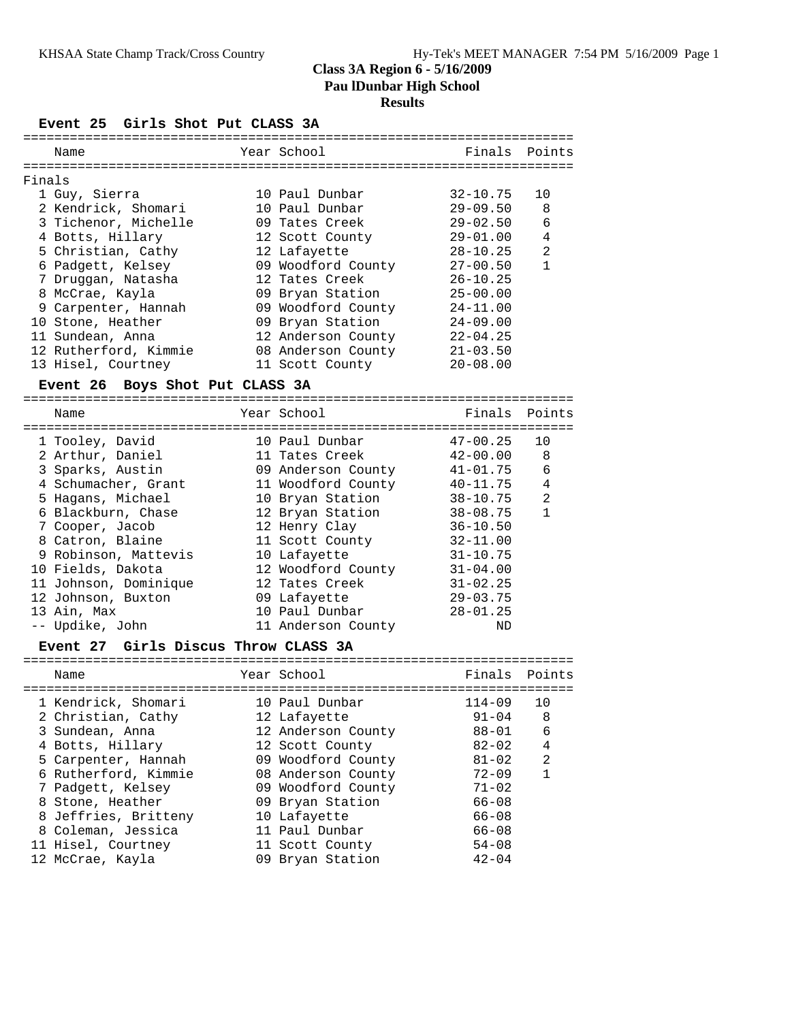### **Class 3A Region 6 - 5/16/2009 Pau lDunbar High School Results**

### **Event 25 Girls Shot Put CLASS 3A**

|        | Name                            |  | Year School                                 | Finals Points  |                |  |  |
|--------|---------------------------------|--|---------------------------------------------|----------------|----------------|--|--|
| Finals |                                 |  |                                             |                |                |  |  |
|        |                                 |  |                                             |                |                |  |  |
|        | 1 Guy, Sierra                   |  | 10 Paul Dunbar                              | 32-10.75       | 10             |  |  |
|        | 2 Kendrick, Shomari             |  | 10 Paul Dunbar                              | $29 - 09.50$ 8 |                |  |  |
|        | 3 Tichenor, Michelle            |  | 09 Tates Creek                              | $29 - 02.50$   | - 6            |  |  |
|        | 4 Botts, Hillary                |  | 12 Scott County                             | 29-01.00       | $\overline{4}$ |  |  |
|        | 5 Christian, Cathy              |  | 12 Lafayette                                | 28-10.25       | $\overline{a}$ |  |  |
|        | 6 Padgett, Kelsey               |  | 09 Woodford County                          | $27 - 00.50$   | $\mathbf{1}$   |  |  |
|        | 7 Druggan, Natasha              |  | 12 Tates Creek                              | $26 - 10.25$   |                |  |  |
|        | 8 McCrae, Kayla                 |  | 09 Bryan Station                            | $25 - 00.00$   |                |  |  |
|        | 9 Carpenter, Hannah             |  | 09 Woodford County                          | $24 - 11.00$   |                |  |  |
|        | 10 Stone, Heather               |  | 09 Bryan Station                            | $24 - 09.00$   |                |  |  |
|        | 11 Sundean, Anna                |  | 12 Anderson County                          | $22 - 04.25$   |                |  |  |
|        | 12 Rutherford, Kimmie           |  | 08 Anderson County                          | $21 - 03.50$   |                |  |  |
|        | 13 Hisel, Courtney              |  | 11 Scott County                             | $20 - 08.00$   |                |  |  |
|        | Event 26 Boys Shot Put CLASS 3A |  |                                             |                |                |  |  |
|        | ======================<br>Name  |  | ============================<br>Year School | Finals Points  |                |  |  |
|        | 1 Tooley David                  |  | $10$ Paul Dupbar $47-00$ 25 $10$            |                |                |  |  |

| 1 Tooley, David       | 10 Paul Dunbar     | $47 - 00.25$ | 10             |
|-----------------------|--------------------|--------------|----------------|
| 2 Arthur, Daniel      | 11 Tates Creek     | $42 - 00.00$ | - 8            |
| 3 Sparks, Austin      | 09 Anderson County | 41-01.75     | 6              |
| 4 Schumacher, Grant   | 11 Woodford County | 40-11.75     | 4              |
| 5 Hagans, Michael     | 10 Bryan Station   | 38-10.75     | $\overline{2}$ |
| 6 Blackburn, Chase    | 12 Bryan Station   | 38-08.75     | 1              |
| 7 Cooper, Jacob       | 12 Henry Clay      | $36 - 10.50$ |                |
| 8 Catron, Blaine      | 11 Scott County    | $32 - 11.00$ |                |
| 9 Robinson, Mattevis  | 10 Lafayette       | $31 - 10.75$ |                |
| 10 Fields, Dakota     | 12 Woodford County | $31 - 04.00$ |                |
| 11 Johnson, Dominique | 12 Tates Creek     | $31 - 02.25$ |                |
| 12 Johnson, Buxton    | 09 Lafayette       | $29 - 03.75$ |                |
| 13 Ain, Max           | 10 Paul Dunbar     | $28 - 01.25$ |                |
| -- Updike, John       | 11 Anderson County | ND           |                |

### **Event 27 Girls Discus Throw CLASS 3A**

| Name                 | Year School        | Finals Points |                |
|----------------------|--------------------|---------------|----------------|
| 1 Kendrick, Shomari  | 10 Paul Dunbar     | $114 - 09$    | 10             |
| 2 Christian, Cathy   | 12 Lafayette       | $91 - 04$     | -8             |
| 3 Sundean, Anna      | 12 Anderson County | 88-01         | 6              |
| 4 Botts, Hillary     | 12 Scott County    | $82 - 02$     | 4              |
| 5 Carpenter, Hannah  | 09 Woodford County | $81 - 02$     | $\mathfrak{D}$ |
| 6 Rutherford, Kimmie | 08 Anderson County | $72 - 09$     |                |
| 7 Padgett, Kelsey    | 09 Woodford County | $71 - 02$     |                |
| 8 Stone, Heather     | 09 Bryan Station   | $66 - 08$     |                |
| 8 Jeffries, Britteny | 10 Lafayette       | $66 - 08$     |                |
| 8 Coleman, Jessica   | 11 Paul Dunbar     | $66 - 08$     |                |
| 11 Hisel, Courtney   | 11 Scott County    | $54 - 08$     |                |
| 12 McCrae, Kayla     | 09 Bryan Station   | $42 - 04$     |                |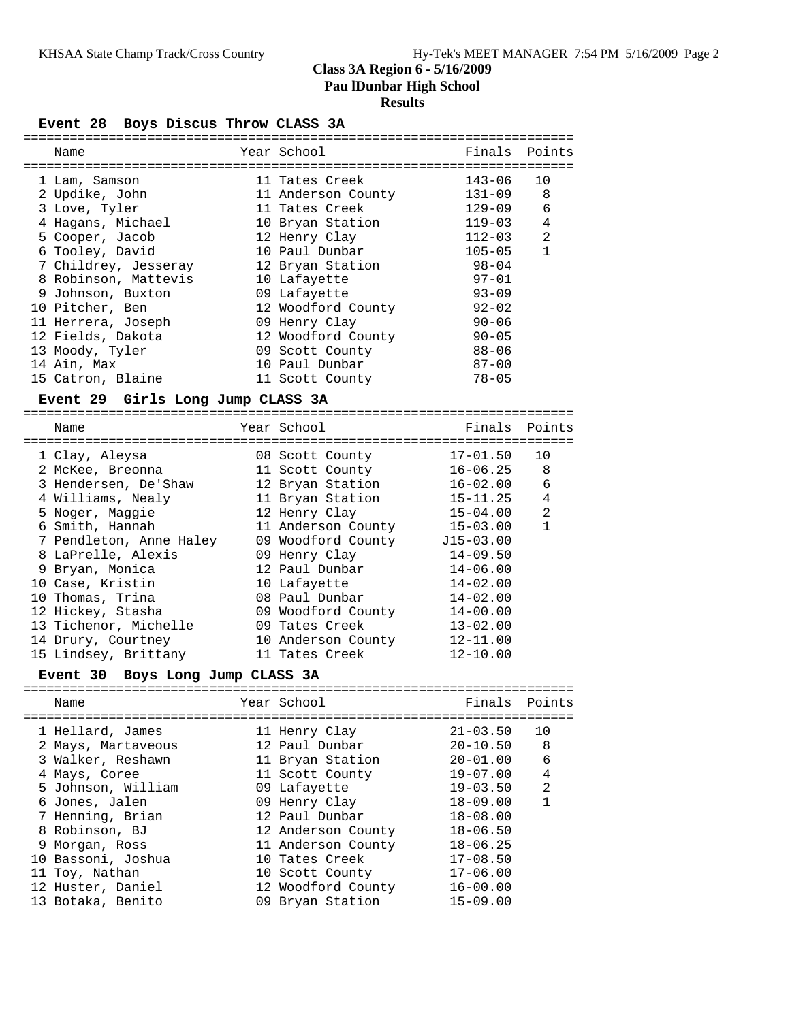### **Class 3A Region 6 - 5/16/2009 Pau lDunbar High School Results**

**Event 28 Boys Discus Throw CLASS 3A**

| Name                                | Year School                  | Finals                       | Points         |
|-------------------------------------|------------------------------|------------------------------|----------------|
|                                     | 11 Tates Creek               | $143 - 06$                   | 10             |
| 1 Lam, Samson<br>2 Updike, John     | 11 Anderson County           | 131-09                       | 8              |
| 3 Love, Tyler                       | 11 Tates Creek               | $129 - 09$                   | 6              |
| 4 Hagans, Michael                   | 10 Bryan Station             | $119 - 03$                   | 4              |
| 5 Cooper, Jacob                     | 12 Henry Clay                | $112 - 03$                   | 2              |
| 6 Tooley, David                     | 10 Paul Dunbar               | $105 - 05$                   | $\mathbf{1}$   |
| 7 Childrey, Jesseray                | 12 Bryan Station             | 98-04                        |                |
| 8 Robinson, Mattevis                |                              | $97 - 01$                    |                |
| 9 Johnson, Buxton                   | 10 Lafayette<br>09 Lafayette | $93 - 09$                    |                |
| 10 Pitcher, Ben                     |                              | $92 - 02$                    |                |
|                                     | 12 Woodford County           | $90 - 06$                    |                |
| 11 Herrera, Joseph                  | 09 Henry Clay                |                              |                |
| 12 Fields, Dakota                   | 12 Woodford County           | $90 - 05$                    |                |
| 13 Moody, Tyler                     | 09 Scott County              | $88 - 06$                    |                |
| 14 Ain, Max                         | 10 Paul Dunbar               | $87 - 00$                    |                |
| 15 Catron, Blaine                   | 11 Scott County              | $78 - 05$                    |                |
| Event 29 Girls Long Jump CLASS 3A   |                              |                              |                |
| Name                                | Year School                  | Finals                       | Points         |
|                                     |                              |                              |                |
| 1 Clay, Aleysa                      | 08 Scott County              | $17 - 01.50$<br>$16 - 06.25$ | 10<br>8        |
| 2 McKee, Breonna                    | 11 Scott County              |                              |                |
| 3 Hendersen, De'Shaw                | 12 Bryan Station             | 16-02.00                     | 6<br>4         |
| 4 Williams, Nealy                   | 11 Bryan Station             | $15 - 11.25$                 | 2              |
| 5 Noger, Maggie                     | 12 Henry Clay                | $15 - 04.00$                 | $\mathbf{1}$   |
| 6 Smith, Hannah                     | 11 Anderson County           | 15-03.00                     |                |
| 7 Pendleton, Anne Haley             | 09 Woodford County J15-03.00 |                              |                |
| 8 LaPrelle, Alexis                  | 09 Henry Clay                | $14 - 09.50$                 |                |
| 9 Bryan, Monica                     | 12 Paul Dunbar               | $14 - 06.00$                 |                |
| 10 Case, Kristin                    | 10 Lafayette                 | $14 - 02.00$                 |                |
| 10 Thomas, Trina                    | 08 Paul Dunbar               | $14 - 02.00$                 |                |
| 12 Hickey, Stasha                   | 09 Woodford County           | $14 - 00.00$                 |                |
| 13 Tichenor, Michelle               | 09 Tates Creek               | $13 - 02.00$                 |                |
| 14 Drury, Courtney                  | 10 Anderson County           | $12 - 11.00$                 |                |
| 15 Lindsey, Brittany                | 11 Tates Creek               | $12 - 10.00$                 |                |
| Boys Long Jump CLASS 3A<br>Event 30 |                              | =====================        |                |
| Name                                | Year School                  | Finals                       | Points         |
| 1 Hellard, James                    | 11 Henry Clay                | $21 - 03.50$                 | 10             |
| 2 Mays, Martaveous                  | 12 Paul Dunbar               | $20 - 10.50$                 | 8              |
| 3 Walker, Reshawn                   | 11 Bryan Station             | $20 - 01.00$                 | 6              |
| 4 Mays, Coree                       | 11 Scott County              | $19 - 07.00$                 | $\overline{4}$ |
| 5 Johnson, William                  | 09 Lafayette                 | $19 - 03.50$                 | $\overline{a}$ |
| 6 Jones, Jalen                      | 09 Henry Clay                | $18 - 09.00$                 | $\mathbf{1}$   |
| 7 Henning, Brian                    | 12 Paul Dunbar               | $18 - 08.00$                 |                |
| 8 Robinson, BJ                      | 12 Anderson County           | $18 - 06.50$                 |                |
| 9 Morgan, Ross                      | 11 Anderson County           | $18 - 06.25$                 |                |
| 10 Bassoni, Joshua                  | 10 Tates Creek               | $17 - 08.50$                 |                |
| 11 Toy, Nathan                      | 10 Scott County              | $17 - 06.00$                 |                |
| 12 Huster, Daniel                   | 12 Woodford County           | $16 - 00.00$                 |                |
| 13 Botaka, Benito                   | 09 Bryan Station             | $15 - 09.00$                 |                |
|                                     |                              |                              |                |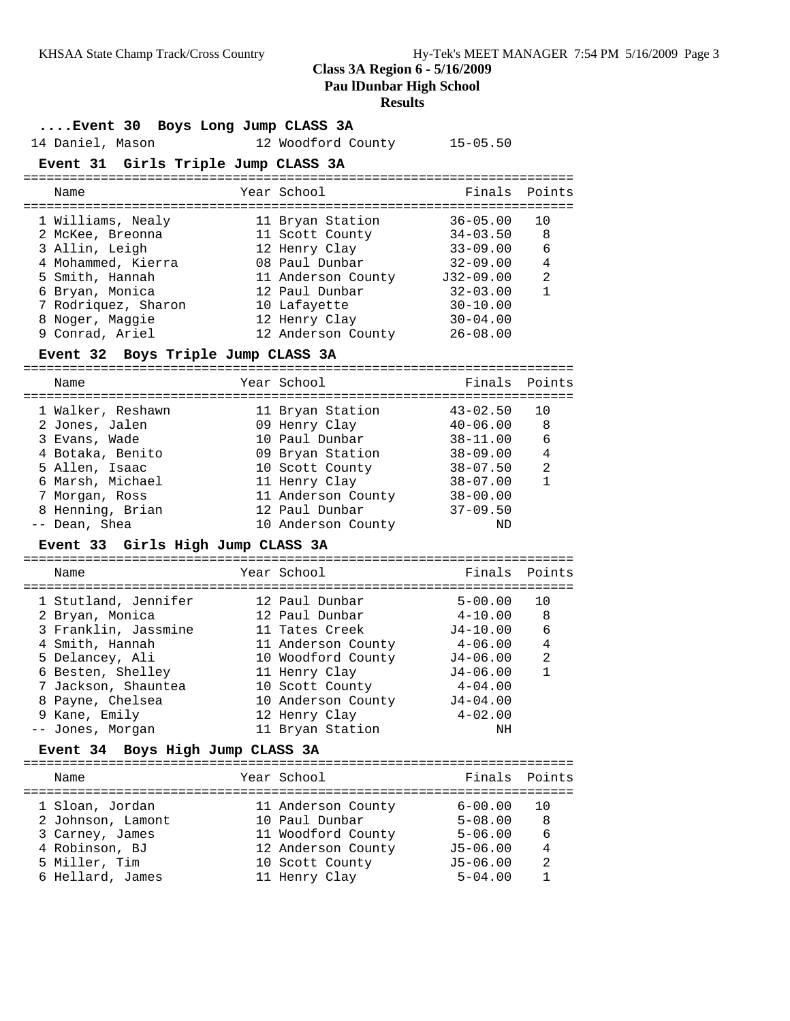## **Class 3A Region 6 - 5/16/2009 Pau lDunbar High School**

# **Results**

| Event 30 Boys Long Jump CLASS 3A           |  |                                          |                                  |                |  |
|--------------------------------------------|--|------------------------------------------|----------------------------------|----------------|--|
| 14 Daniel, Mason                           |  | 12 Woodford County 15-05.50              |                                  |                |  |
| Event 31 Girls Triple Jump CLASS 3A        |  |                                          |                                  |                |  |
| Name                                       |  | Year School                              | Finals                           | Points         |  |
| 1 Williams, Nealy                          |  | 11 Bryan Station                         | $36 - 05.00$                     | 10             |  |
| 2 McKee, Breonna                           |  | 11 Scott County                          | $34 - 03.50$                     | 8              |  |
| 3 Allin, Leigh                             |  | 12 Henry Clay                            | $33 - 09.00$                     | 6              |  |
| 4 Mohammed, Kierra                         |  | 08 Paul Dunbar                           | 32-09.00                         | $\overline{4}$ |  |
| 5 Smith, Hannah                            |  | 11 Anderson County J32-09.00             |                                  | 2              |  |
| 6 Bryan, Monica                            |  | 12 Paul Dunbar                           | $32 - 03.00$                     | $\mathbf{1}$   |  |
| 7 Rodriquez, Sharon                        |  | 10 Lafayette                             | $30 - 10.00$                     |                |  |
| 8 Noger, Maggie                            |  | 12 Henry Clay                            | $30 - 04.00$                     |                |  |
| 9 Conrad, Ariel                            |  | 12 Anderson County                       | $26 - 08.00$                     |                |  |
| Event 32 Boys Triple Jump CLASS 3A         |  |                                          |                                  |                |  |
| Name                                       |  | Year School                              | Finals                           | Points         |  |
|                                            |  |                                          |                                  |                |  |
| 1 Walker, Reshawn                          |  | 11 Bryan Station                         | $43 - 02.50$                     | 10             |  |
| 2 Jones, Jalen                             |  | 09 Henry Clay                            | $40 - 06.00$                     | 8              |  |
| 3 Evans, Wade                              |  | 10 Paul Dunbar                           | 38-11.00                         | 6              |  |
| 4 Botaka, Benito                           |  | 09 Bryan Station                         | $38 - 09.00$                     | $\overline{4}$ |  |
| 5 Allen, Isaac                             |  | 10 Scott County                          | $38 - 07.50$                     | 2              |  |
| 6 Marsh, Michael                           |  | 11 Henry Clay                            | $38 - 07.00$                     | $\mathbf{1}$   |  |
| 7 Morgan, Ross                             |  | 11 Anderson County 38-00.00              |                                  |                |  |
| 8 Henning, Brian                           |  | 12 Paul Dunbar                           | $37 - 09.50$                     |                |  |
| -- Dean, Shea                              |  | 10 Anderson County                       | ND                               |                |  |
| Event 33 Girls High Jump CLASS 3A          |  |                                          |                                  |                |  |
| Name                                       |  | Year School                              | Finals                           | Points         |  |
|                                            |  |                                          |                                  |                |  |
| 1 Stutland, Jennifer                       |  | 12 Paul Dunbar                           | $5 - 00.00$                      | 10             |  |
| 2 Bryan, Monica                            |  | 12 Paul Dunbar                           | $4 - 10.00$                      | 8              |  |
| 3 Franklin, Jassmine<br>4 Smith, Hannah    |  | 11 Tates Creek<br>11 Anderson County     | J4-10.00<br>$4\hbox{-}06$ . $00$ | 6<br>4         |  |
| 5 Delancey, Ali                            |  | 10 Woodford County                       | J4-06.00                         | 2              |  |
| 6 Besten, Shelley                          |  | 11 Henry Clay                            | $J4-06.00$                       | 1              |  |
| 7 Jackson, Shauntea                        |  | 10 Scott County                          | $4 - 04.00$                      |                |  |
| 8 Payne, Chelsea                           |  | 10 Anderson County                       | $J4 - 04.00$                     |                |  |
| 9 Kane, Emily                              |  | 12 Henry Clay                            | $4 - 02.00$                      |                |  |
| -- Jones, Morgan                           |  | 11 Bryan Station                         | ΝH                               |                |  |
| Boys High Jump CLASS 3A<br><b>Event 34</b> |  |                                          |                                  |                |  |
|                                            |  |                                          |                                  |                |  |
| Name                                       |  | Year School                              | Finals                           | Points         |  |
|                                            |  |                                          |                                  |                |  |
| 1 Sloan, Jordan                            |  | 11 Anderson County                       | $6 - 00.00$                      | 10             |  |
| 2 Johnson, Lamont                          |  | 10 Paul Dunbar                           | $5 - 08.00$                      | 8              |  |
| 3 Carney, James<br>4 Robinson, BJ          |  | 11 Woodford County<br>12 Anderson County | $5 - 06.00$<br>$J5 - 06.00$      | 6<br>4         |  |
| 5 Miller, Tim                              |  | 10 Scott County                          | $J5 - 06.00$                     | $\overline{2}$ |  |
|                                            |  |                                          |                                  |                |  |

6 Hellard, James 11 Henry Clay 5-04.00 1